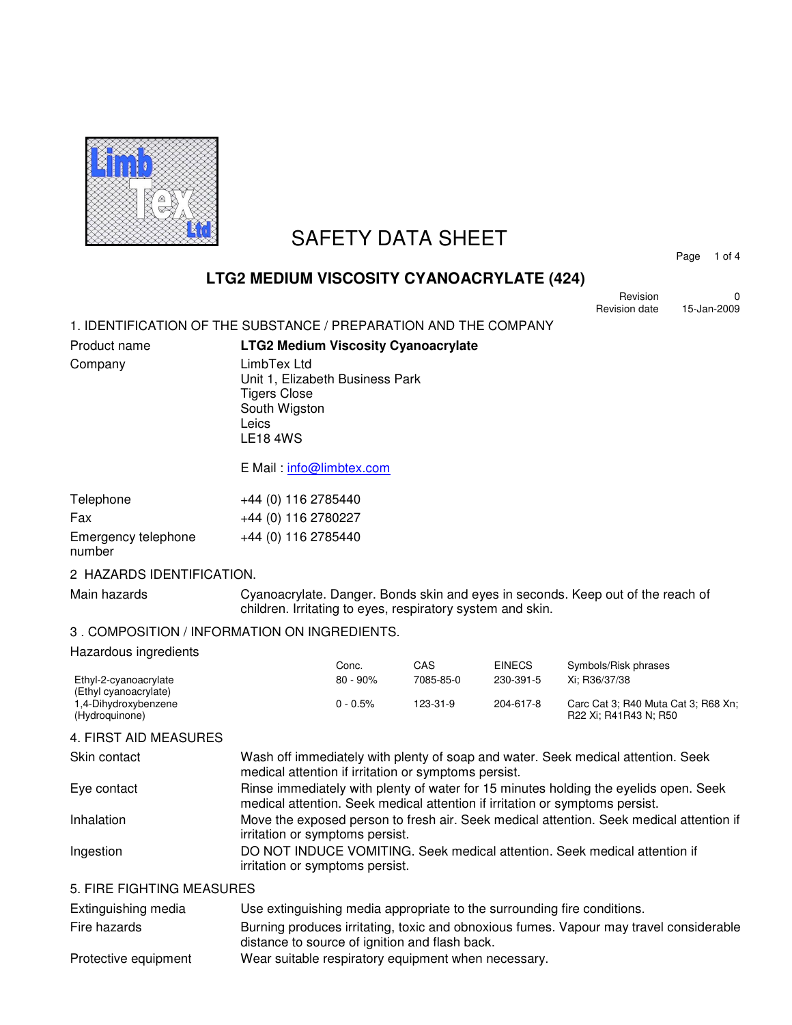

# SAFETY DATA SHEET

Page 1 of 4

# **LTG2 MEDIUM VISCOSITY CYANOACRYLATE (424)**

Revision 0<br>
sion date 15-Jan-2009 Revision date

1. IDENTIFICATION OF THE SUBSTANCE / PREPARATION AND THE COMPANY

| Product name | <b>LTG2 Medium Viscosity Cyanoacrylate</b>                                                                         |
|--------------|--------------------------------------------------------------------------------------------------------------------|
| Company      | LimbTex Ltd<br>Unit 1, Elizabeth Business Park<br><b>Tigers Close</b><br>South Wigston<br>Leics<br><b>LE18 4WS</b> |
|              | E Mail: info@limbtex.com                                                                                           |

| Telephone           | +44 (0) 116 2785440 |
|---------------------|---------------------|
| Fax                 | +44 (0) 116 2780227 |
| Emergency telephone | +44 (0) 116 2785440 |
| number              |                     |

## 2 HAZARDS IDENTIFICATION.

Main hazards **Cyanoacrylate. Danger. Bonds skin and eyes in seconds. Keep out of the reach of** children. Irritating to eyes, respiratory system and skin.

## 3 . COMPOSITION / INFORMATION ON INGREDIENTS.

#### Hazardous ingredients

|                       | Conc.       | CAS       | <b>EINECS</b> | Symbols/Risk phrases                |
|-----------------------|-------------|-----------|---------------|-------------------------------------|
| Ethyl-2-cyanoacrylate | $80 - 90\%$ | 7085-85-0 | 230-391-5     | Xi: R36/37/38                       |
| (Ethyl cyanoacrylate) |             |           |               |                                     |
| 1,4-Dihydroxybenzene  | $0 - 0.5\%$ | 123-31-9  | 204-617-8     | Carc Cat 3; R40 Muta Cat 3; R68 Xn; |
| (Hydroguinone)        |             |           |               | R22 Xi: R41R43 N: R50               |

#### 4. FIRST AID MEASURES

| Skin contact              | Wash off immediately with plenty of soap and water. Seek medical attention. Seek<br>medical attention if irritation or symptoms persist.                             |
|---------------------------|----------------------------------------------------------------------------------------------------------------------------------------------------------------------|
| Eye contact               | Rinse immediately with plenty of water for 15 minutes holding the eyelids open. Seek<br>medical attention. Seek medical attention if irritation or symptoms persist. |
| Inhalation                | Move the exposed person to fresh air. Seek medical attention. Seek medical attention if<br>irritation or symptoms persist.                                           |
| Ingestion                 | DO NOT INDUCE VOMITING. Seek medical attention. Seek medical attention if<br>irritation or symptoms persist.                                                         |
| E FIDE FIQUEINQ ME LOUDEQ |                                                                                                                                                                      |

#### 5. FIRE FIGHTING MEASURES

| Extinguishing media  | Use extinguishing media appropriate to the surrounding fire conditions.                                                                  |
|----------------------|------------------------------------------------------------------------------------------------------------------------------------------|
| Fire hazards         | Burning produces irritating, toxic and obnoxious fumes. Vapour may travel considerable<br>distance to source of ignition and flash back. |
| Protective equipment | Wear suitable respiratory equipment when necessary.                                                                                      |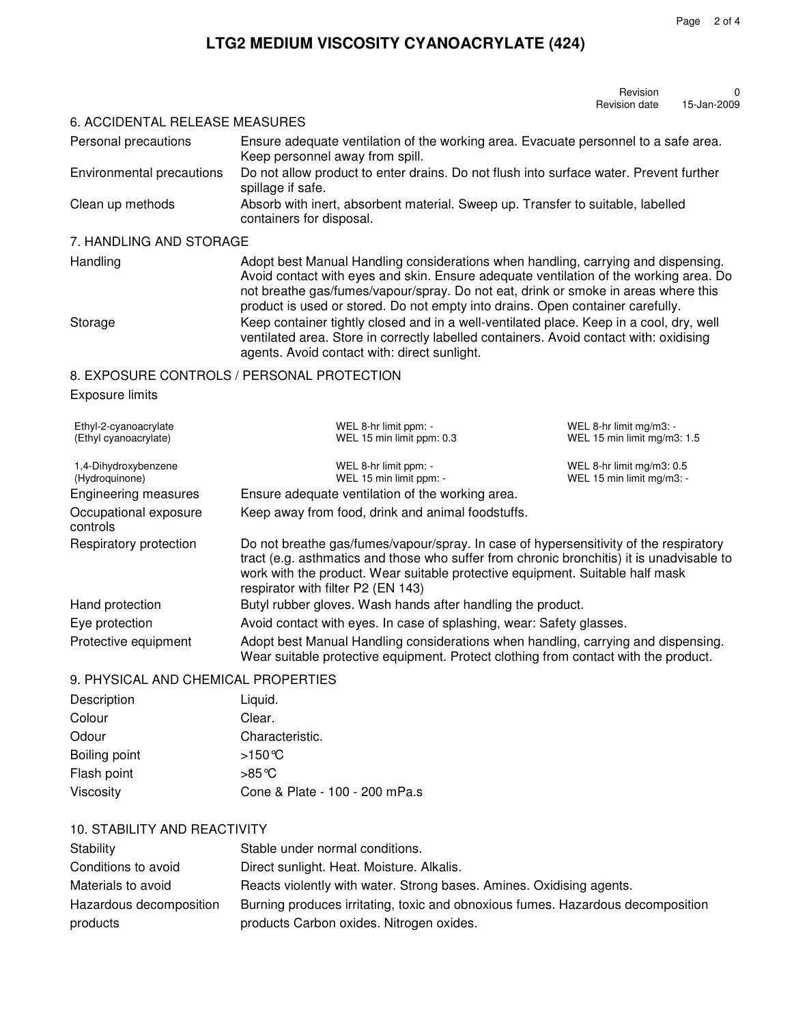# **LTG2 MEDIUM VISCOSITY CYANOACRYLATE (424)**

| Revision      |             |
|---------------|-------------|
| Revision date | 15-Jan-2009 |

#### 6. ACCIDENTAL RELEASE MEASURES

| Personal precautions      | Ensure adequate ventilation of the working area. Evacuate personnel to a safe area.<br>Keep personnel away from spill. |
|---------------------------|------------------------------------------------------------------------------------------------------------------------|
| Environmental precautions | Do not allow product to enter drains. Do not flush into surface water. Prevent further<br>spillage if safe.            |
| Clean up methods          | Absorb with inert, absorbent material. Sweep up. Transfer to suitable, labelled<br>containers for disposal.            |

# 7. HANDLING AND STORAGE

Handling **Adopt best Manual Handling considerations when handling, carrying and dispensing.** Avoid contact with eyes and skin. Ensure adequate ventilation of the working area. Do not breathe gas/fumes/vapour/spray. Do not eat, drink or smoke in areas where this product is used or stored. Do not empty into drains. Open container carefully. Storage Keep container tightly closed and in a well-ventilated place. Keep in a cool, dry, well ventilated area. Store in correctly labelled containers. Avoid contact with: oxidising agents. Avoid contact with: direct sunlight.

## 8. EXPOSURE CONTROLS / PERSONAL PROTECTION

#### Exposure limits

| Ethyl-2-cyanoacrylate<br>(Ethyl cyanoacrylate) | WEL 8-hr limit ppm: -<br>WEL 15 min limit ppm: 0.3                                                                                                                                                                                                                                                        | WEL 8-hr limit mg/m3: -<br>WEL 15 min limit mg/m3: 1.5 |
|------------------------------------------------|-----------------------------------------------------------------------------------------------------------------------------------------------------------------------------------------------------------------------------------------------------------------------------------------------------------|--------------------------------------------------------|
| 1,4-Dihydroxybenzene<br>(Hydroquinone)         | WEL 8-hr limit ppm: -<br>WEL 15 min limit ppm: -                                                                                                                                                                                                                                                          | WEL 8-hr limit mg/m3: 0.5<br>WEL 15 min limit mg/m3: - |
| <b>Engineering measures</b>                    | Ensure adequate ventilation of the working area.                                                                                                                                                                                                                                                          |                                                        |
| Occupational exposure<br>controls              | Keep away from food, drink and animal foodstuffs.                                                                                                                                                                                                                                                         |                                                        |
| Respiratory protection                         | Do not breathe gas/fumes/vapour/spray. In case of hypersensitivity of the respiratory<br>tract (e.g. asthmatics and those who suffer from chronic bronchitis) it is unadvisable to<br>work with the product. Wear suitable protective equipment. Suitable half mask<br>respirator with filter P2 (EN 143) |                                                        |
| Hand protection                                | Butyl rubber gloves. Wash hands after handling the product.                                                                                                                                                                                                                                               |                                                        |
| Eye protection                                 | Avoid contact with eyes. In case of splashing, wear: Safety glasses.                                                                                                                                                                                                                                      |                                                        |
| Protective equipment                           | Adopt best Manual Handling considerations when handling, carrying and dispensing.<br>Wear suitable protective equipment. Protect clothing from contact with the product.                                                                                                                                  |                                                        |

#### 9. PHYSICAL AND CHEMICAL PROPERTIES

| Description   | Liquid.                        |
|---------------|--------------------------------|
| Colour        | Clear.                         |
| Odour         | Characteristic.                |
| Boiling point | >150℃                          |
| Flash point   | $>85^{\circ}$ C                |
| Viscosity     | Cone & Plate - 100 - 200 mPa.s |

## 10. STABILITY AND REACTIVITY

| Stability               | Stable under normal conditions.                                                 |
|-------------------------|---------------------------------------------------------------------------------|
| Conditions to avoid     | Direct sunlight. Heat. Moisture. Alkalis.                                       |
| Materials to avoid      | Reacts violently with water. Strong bases. Amines. Oxidising agents.            |
| Hazardous decomposition | Burning produces irritating, toxic and obnoxious fumes. Hazardous decomposition |
| products                | products Carbon oxides. Nitrogen oxides.                                        |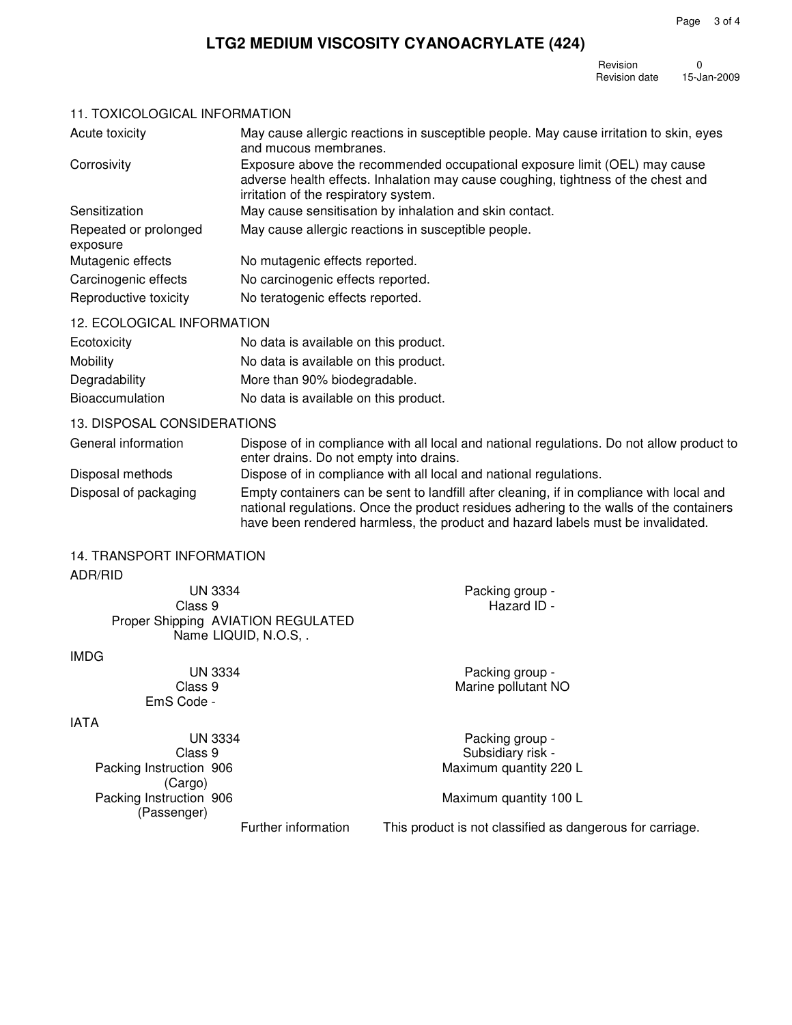Page 3 of 4

# **LTG2 MEDIUM VISCOSITY CYANOACRYLATE (424)**

Revision 0<br>Revision date 15-Jan-2009 Revision date

# 11. TOXICOLOGICAL INFORMATION

| Acute toxicity                    | May cause allergic reactions in susceptible people. May cause irritation to skin, eyes<br>and mucous membranes.                                                                                          |
|-----------------------------------|----------------------------------------------------------------------------------------------------------------------------------------------------------------------------------------------------------|
| Corrosivity                       | Exposure above the recommended occupational exposure limit (OEL) may cause<br>adverse health effects. Inhalation may cause coughing, tightness of the chest and<br>irritation of the respiratory system. |
| Sensitization                     | May cause sensitisation by inhalation and skin contact.                                                                                                                                                  |
| Repeated or prolonged<br>exposure | May cause allergic reactions in susceptible people.                                                                                                                                                      |
| Mutagenic effects                 | No mutagenic effects reported.                                                                                                                                                                           |
| Carcinogenic effects              | No carcinogenic effects reported.                                                                                                                                                                        |
| Reproductive toxicity             | No teratogenic effects reported.                                                                                                                                                                         |

# 12. ECOLOGICAL INFORMATION

| Ecotoxicity            | No data is available on this product. |
|------------------------|---------------------------------------|
| Mobility               | No data is available on this product. |
| Degradability          | More than 90% biodegradable.          |
| <b>Bioaccumulation</b> | No data is available on this product. |

# 13. DISPOSAL CONSIDERATIONS

| General information   | Dispose of in compliance with all local and national regulations. Do not allow product to<br>enter drains. Do not empty into drains.                                                                                                                                   |
|-----------------------|------------------------------------------------------------------------------------------------------------------------------------------------------------------------------------------------------------------------------------------------------------------------|
| Disposal methods      | Dispose of in compliance with all local and national regulations.                                                                                                                                                                                                      |
| Disposal of packaging | Empty containers can be sent to landfill after cleaning, if in compliance with local and<br>national regulations. Once the product residues adhering to the walls of the containers<br>have been rendered harmless, the product and hazard labels must be invalidated. |

# 14. TRANSPORT INFORMATION

#### ADR/RID

| <b>UN 3334</b>                     | Packing group -                                           |  |
|------------------------------------|-----------------------------------------------------------|--|
| Class 9                            | Hazard ID -                                               |  |
| Proper Shipping AVIATION REGULATED |                                                           |  |
| Name LIQUID, N.O.S                 |                                                           |  |
| <b>IMDG</b>                        |                                                           |  |
| <b>UN 3334</b>                     | Packing group -                                           |  |
| Class 9                            | Marine pollutant NO                                       |  |
| EmS Code -                         |                                                           |  |
| <b>IATA</b>                        |                                                           |  |
| <b>UN 3334</b>                     | Packing group -                                           |  |
| Class 9                            | Subsidiary risk -                                         |  |
| Packing Instruction 906            | Maximum quantity 220 L                                    |  |
| (Cargo)                            |                                                           |  |
| Packing Instruction 906            | Maximum quantity 100 L                                    |  |
| (Passenger)                        |                                                           |  |
| Further information                | This product is not classified as dangerous for carriage. |  |